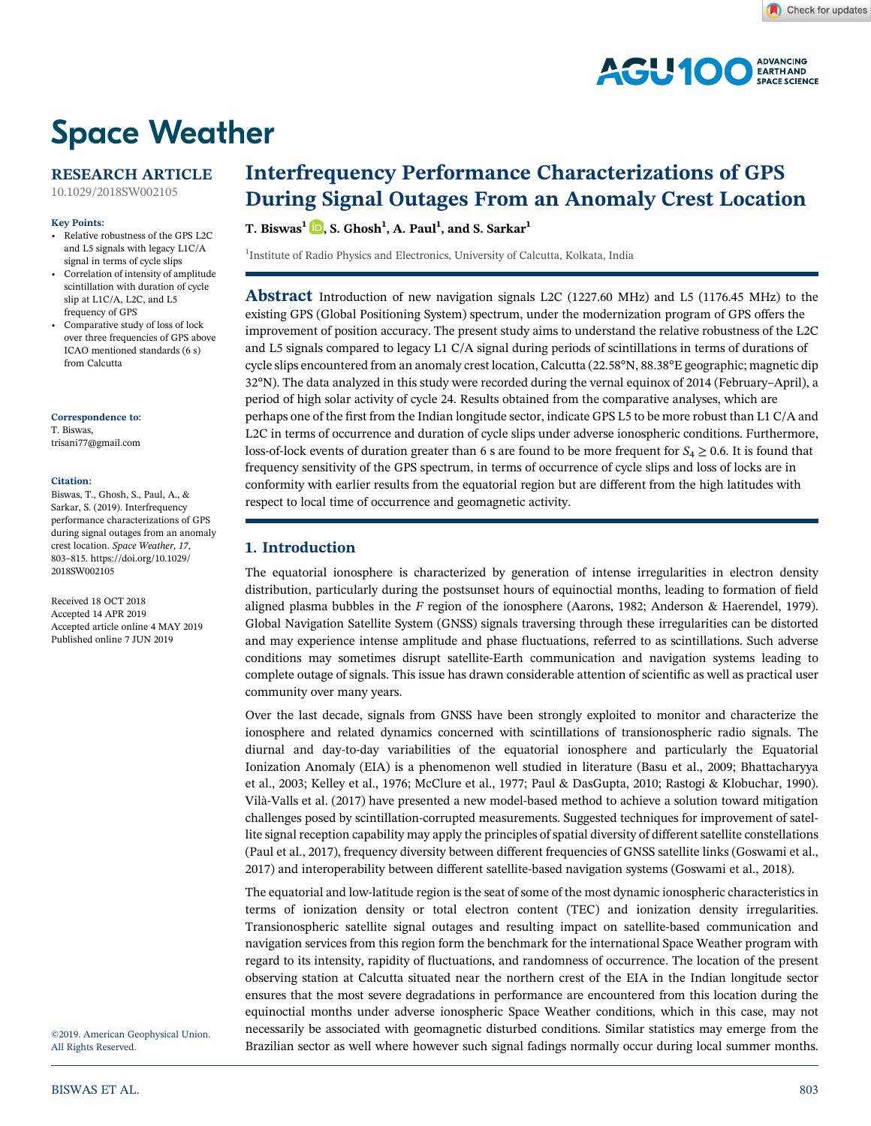

# **Space Weather**

# RESEARCH ARTICLE

10.1029/2018SW002105

# Key Points:

- Relative robustness of the GPS L2C and L5 signals with legacy L1C/A signal in terms of cycle slips
- Correlation of intensity of amplitude scintillation with duration of cycle slip at L1C/A, L2C, and L5 frequency of GPS
- Comparative study of loss of lock over three frequencies of GPS above ICAO mentioned standards (6 s) from Calcutta

### Correspondence to:

T. Biswas, trisani77@gmail.com

### Citation:

Biswas, T., Ghosh, S., Paul, A., & Sarkar, S. (2019). Interfrequency performance characterizations of GPS during signal outages from an anomaly crest location. Space Weather, 17, 803–815. https://doi.org/10.1029/ 2018SW002105

Received 18 OCT 2018 Accepted 14 APR 2019 Accepted article online 4 MAY 2019 Published online 7 JUN 2019

©2019. American Geophysical Union. All Rights Reserved.

# Interfrequency Performance Characterizations of GPS During Signal Outages From an Anomaly Crest Location

T. Biswas $^1$   $\lbrack\!\lbrack$   $\rbrack$ , S. Ghosh $^1$ , A. Paul $^1$ , and S. Sarkar $^1$ 

<sup>1</sup>Institute of Radio Physics and Electronics, University of Calcutta, Kolkata, India

Abstract Introduction of new navigation signals L2C (1227.60 MHz) and L5 (1176.45 MHz) to the existing GPS (Global Positioning System) spectrum, under the modernization program of GPS offers the improvement of position accuracy. The present study aims to understand the relative robustness of the L2C and L5 signals compared to legacy L1 C/A signal during periods of scintillations in terms of durations of cycle slips encountered from an anomaly crest location, Calcutta (22.58°N, 88.38°E geographic; magnetic dip 32°N). The data analyzed in this study were recorded during the vernal equinox of 2014 (February–April), a period of high solar activity of cycle 24. Results obtained from the comparative analyses, which are perhaps one of the first from the Indian longitude sector, indicate GPS L5 to be more robust than L1 C/A and L2C in terms of occurrence and duration of cycle slips under adverse ionospheric conditions. Furthermore, loss-of-lock events of duration greater than 6 s are found to be more frequent for  $S_4 \geq 0.6$ . It is found that frequency sensitivity of the GPS spectrum, in terms of occurrence of cycle slips and loss of locks are in conformity with earlier results from the equatorial region but are different from the high latitudes with respect to local time of occurrence and geomagnetic activity.

# 1. Introduction

The equatorial ionosphere is characterized by generation of intense irregularities in electron density distribution, particularly during the postsunset hours of equinoctial months, leading to formation of field aligned plasma bubbles in the  $F$  region of the ionosphere (Aarons, 1982; Anderson & Haerendel, 1979). Global Navigation Satellite System (GNSS) signals traversing through these irregularities can be distorted and may experience intense amplitude and phase fluctuations, referred to as scintillations. Such adverse conditions may sometimes disrupt satellite‐Earth communication and navigation systems leading to complete outage of signals. This issue has drawn considerable attention of scientific as well as practical user community over many years.

Over the last decade, signals from GNSS have been strongly exploited to monitor and characterize the ionosphere and related dynamics concerned with scintillations of transionospheric radio signals. The diurnal and day‐to‐day variabilities of the equatorial ionosphere and particularly the Equatorial Ionization Anomaly (EIA) is a phenomenon well studied in literature (Basu et al., 2009; Bhattacharyya et al., 2003; Kelley et al., 1976; McClure et al., 1977; Paul & DasGupta, 2010; Rastogi & Klobuchar, 1990). Vilà‐Valls et al. (2017) have presented a new model‐based method to achieve a solution toward mitigation challenges posed by scintillation‐corrupted measurements. Suggested techniques for improvement of satellite signal reception capability may apply the principles of spatial diversity of different satellite constellations (Paul et al., 2017), frequency diversity between different frequencies of GNSS satellite links (Goswami et al., 2017) and interoperability between different satellite‐based navigation systems (Goswami et al., 2018).

The equatorial and low-latitude region is the seat of some of the most dynamic ionospheric characteristics in terms of ionization density or total electron content (TEC) and ionization density irregularities. Transionospheric satellite signal outages and resulting impact on satellite‐based communication and navigation services from this region form the benchmark for the international Space Weather program with regard to its intensity, rapidity of fluctuations, and randomness of occurrence. The location of the present observing station at Calcutta situated near the northern crest of the EIA in the Indian longitude sector ensures that the most severe degradations in performance are encountered from this location during the equinoctial months under adverse ionospheric Space Weather conditions, which in this case, may not necessarily be associated with geomagnetic disturbed conditions. Similar statistics may emerge from the Brazilian sector as well where however such signal fadings normally occur during local summer months.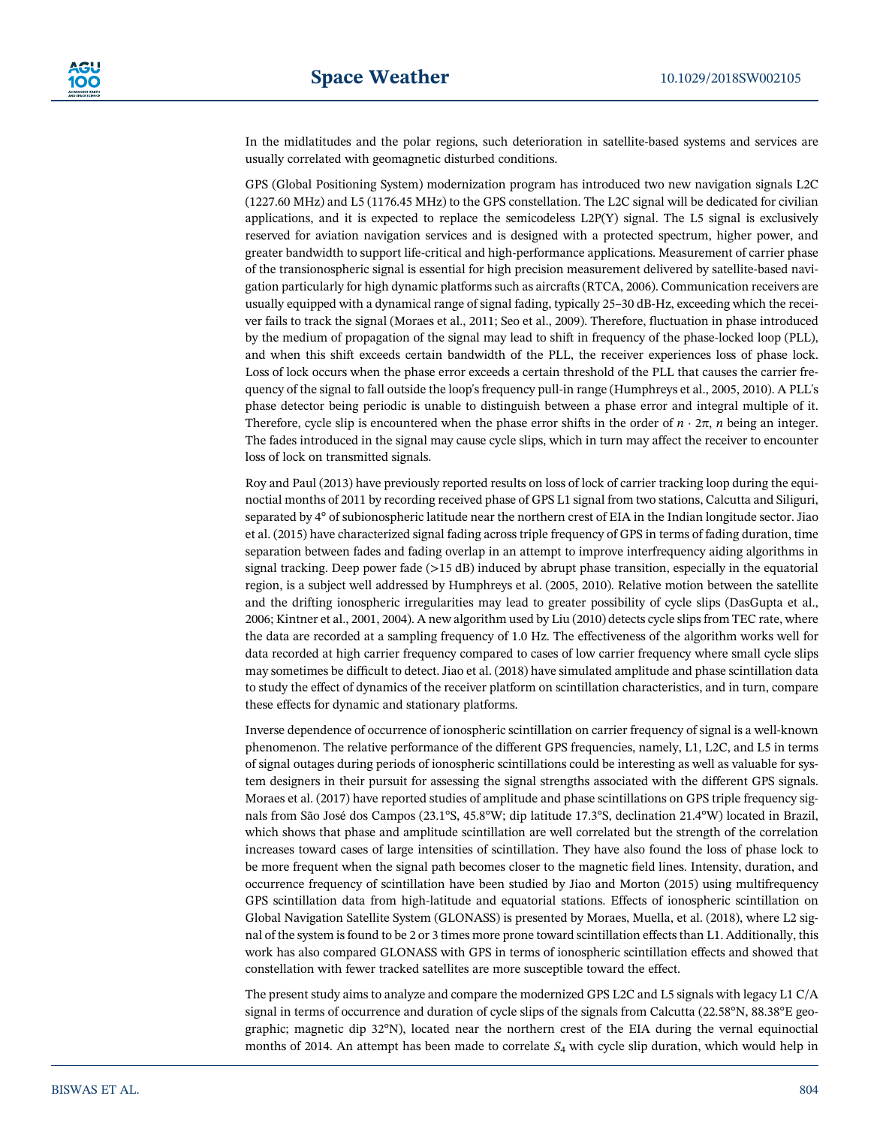In the midlatitudes and the polar regions, such deterioration in satellite-based systems and services are usually correlated with geomagnetic disturbed conditions.

GPS (Global Positioning System) modernization program has introduced two new navigation signals L2C (1227.60 MHz) and L5 (1176.45 MHz) to the GPS constellation. The L2C signal will be dedicated for civilian applications, and it is expected to replace the semicodeless L2P(Y) signal. The L5 signal is exclusively reserved for aviation navigation services and is designed with a protected spectrum, higher power, and greater bandwidth to support life-critical and high-performance applications. Measurement of carrier phase of the transionospheric signal is essential for high precision measurement delivered by satellite‐based navigation particularly for high dynamic platforms such as aircrafts (RTCA, 2006). Communication receivers are usually equipped with a dynamical range of signal fading, typically 25–30 dB-Hz, exceeding which the receiver fails to track the signal (Moraes et al., 2011; Seo et al., 2009). Therefore, fluctuation in phase introduced by the medium of propagation of the signal may lead to shift in frequency of the phase‐locked loop (PLL), and when this shift exceeds certain bandwidth of the PLL, the receiver experiences loss of phase lock. Loss of lock occurs when the phase error exceeds a certain threshold of the PLL that causes the carrier frequency of the signal to fall outside the loop's frequency pull-in range (Humphreys et al., 2005, 2010). A PLL's phase detector being periodic is unable to distinguish between a phase error and integral multiple of it. Therefore, cycle slip is encountered when the phase error shifts in the order of  $n \cdot 2\pi$ , n being an integer. The fades introduced in the signal may cause cycle slips, which in turn may affect the receiver to encounter loss of lock on transmitted signals.

Roy and Paul (2013) have previously reported results on loss of lock of carrier tracking loop during the equinoctial months of 2011 by recording received phase of GPS L1 signal from two stations, Calcutta and Siliguri, separated by 4° of subionospheric latitude near the northern crest of EIA in the Indian longitude sector. Jiao et al. (2015) have characterized signal fading across triple frequency of GPS in terms of fading duration, time separation between fades and fading overlap in an attempt to improve interfrequency aiding algorithms in signal tracking. Deep power fade (>15 dB) induced by abrupt phase transition, especially in the equatorial region, is a subject well addressed by Humphreys et al. (2005, 2010). Relative motion between the satellite and the drifting ionospheric irregularities may lead to greater possibility of cycle slips (DasGupta et al., 2006; Kintner et al., 2001, 2004). A new algorithm used by Liu (2010) detects cycle slips from TEC rate, where the data are recorded at a sampling frequency of 1.0 Hz. The effectiveness of the algorithm works well for data recorded at high carrier frequency compared to cases of low carrier frequency where small cycle slips may sometimes be difficult to detect. Jiao et al. (2018) have simulated amplitude and phase scintillation data to study the effect of dynamics of the receiver platform on scintillation characteristics, and in turn, compare these effects for dynamic and stationary platforms.

Inverse dependence of occurrence of ionospheric scintillation on carrier frequency of signal is a well‐known phenomenon. The relative performance of the different GPS frequencies, namely, L1, L2C, and L5 in terms of signal outages during periods of ionospheric scintillations could be interesting as well as valuable for system designers in their pursuit for assessing the signal strengths associated with the different GPS signals. Moraes et al. (2017) have reported studies of amplitude and phase scintillations on GPS triple frequency signals from São José dos Campos (23.1°S, 45.8°W; dip latitude 17.3°S, declination 21.4°W) located in Brazil, which shows that phase and amplitude scintillation are well correlated but the strength of the correlation increases toward cases of large intensities of scintillation. They have also found the loss of phase lock to be more frequent when the signal path becomes closer to the magnetic field lines. Intensity, duration, and occurrence frequency of scintillation have been studied by Jiao and Morton (2015) using multifrequency GPS scintillation data from high-latitude and equatorial stations. Effects of ionospheric scintillation on Global Navigation Satellite System (GLONASS) is presented by Moraes, Muella, et al. (2018), where L2 signal of the system is found to be 2 or 3 times more prone toward scintillation effects than L1. Additionally, this work has also compared GLONASS with GPS in terms of ionospheric scintillation effects and showed that constellation with fewer tracked satellites are more susceptible toward the effect.

The present study aims to analyze and compare the modernized GPS L2C and L5 signals with legacy L1 C/A signal in terms of occurrence and duration of cycle slips of the signals from Calcutta (22.58°N, 88.38°E geographic; magnetic dip 32°N), located near the northern crest of the EIA during the vernal equinoctial months of 2014. An attempt has been made to correlate  $S_4$  with cycle slip duration, which would help in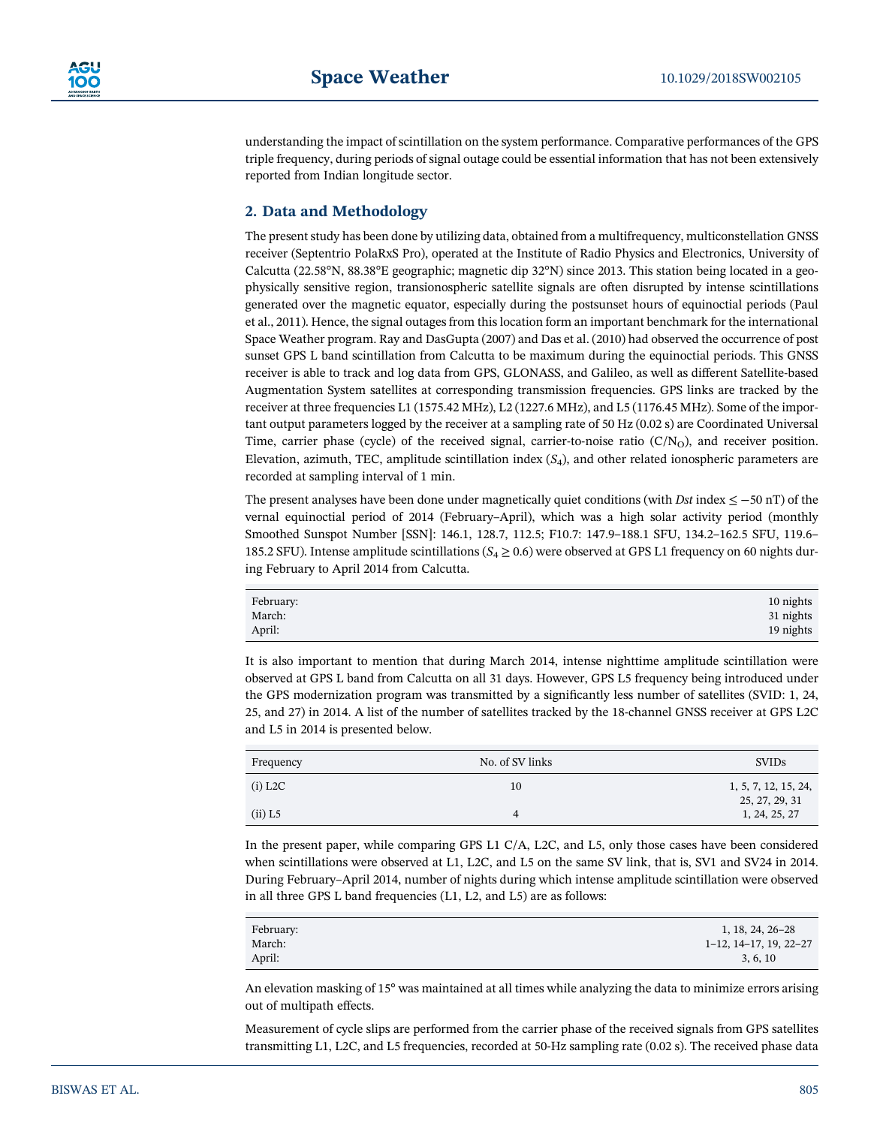understanding the impact of scintillation on the system performance. Comparative performances of the GPS triple frequency, during periods of signal outage could be essential information that has not been extensively reported from Indian longitude sector.

# 2. Data and Methodology

The present study has been done by utilizing data, obtained from a multifrequency, multiconstellation GNSS receiver (Septentrio PolaRxS Pro), operated at the Institute of Radio Physics and Electronics, University of Calcutta (22.58°N, 88.38°E geographic; magnetic dip 32°N) since 2013. This station being located in a geophysically sensitive region, transionospheric satellite signals are often disrupted by intense scintillations generated over the magnetic equator, especially during the postsunset hours of equinoctial periods (Paul et al., 2011). Hence, the signal outages from this location form an important benchmark for the international Space Weather program. Ray and DasGupta (2007) and Das et al. (2010) had observed the occurrence of post sunset GPS L band scintillation from Calcutta to be maximum during the equinoctial periods. This GNSS receiver is able to track and log data from GPS, GLONASS, and Galileo, as well as different Satellite‐based Augmentation System satellites at corresponding transmission frequencies. GPS links are tracked by the receiver at three frequencies L1 (1575.42 MHz), L2 (1227.6 MHz), and L5 (1176.45 MHz). Some of the important output parameters logged by the receiver at a sampling rate of 50 Hz (0.02 s) are Coordinated Universal Time, carrier phase (cycle) of the received signal, carrier-to-noise ratio  $(C/N<sub>O</sub>)$ , and receiver position. Elevation, azimuth, TEC, amplitude scintillation index  $(S_4)$ , and other related ionospheric parameters are recorded at sampling interval of 1 min.

The present analyses have been done under magnetically quiet conditions (with Dst index  $\leq$  –50 nT) of the vernal equinoctial period of 2014 (February–April), which was a high solar activity period (monthly Smoothed Sunspot Number [SSN]: 146.1, 128.7, 112.5; F10.7: 147.9–188.1 SFU, 134.2–162.5 SFU, 119.6– 185.2 SFU). Intense amplitude scintillations ( $S_4 \ge 0.6$ ) were observed at GPS L1 frequency on 60 nights during February to April 2014 from Calcutta.

| February: | 10 nights |
|-----------|-----------|
| March:    | 31 nights |
| April:    | 19 nights |

It is also important to mention that during March 2014, intense nighttime amplitude scintillation were observed at GPS L band from Calcutta on all 31 days. However, GPS L5 frequency being introduced under the GPS modernization program was transmitted by a significantly less number of satellites (SVID: 1, 24, 25, and 27) in 2014. A list of the number of satellites tracked by the 18‐channel GNSS receiver at GPS L2C and L5 in 2014 is presented below.

| Frequency | No. of SV links | <b>SVIDs</b>                           |
|-----------|-----------------|----------------------------------------|
| $(i)$ L2C | 10              | 1, 5, 7, 12, 15, 24,<br>25, 27, 29, 31 |
| $(ii)$ L5 |                 | 1, 24, 25, 27                          |

In the present paper, while comparing GPS L1 C/A, L2C, and L5, only those cases have been considered when scintillations were observed at L1, L2C, and L5 on the same SV link, that is, SV1 and SV24 in 2014. During February–April 2014, number of nights during which intense amplitude scintillation were observed in all three GPS L band frequencies (L1, L2, and L5) are as follows:

| February: | 1, 18, 24, 26–28                  |
|-----------|-----------------------------------|
| March:    | $1-12$ , $14-17$ , $19$ , $22-27$ |
| April:    | 3, 6, 10                          |

An elevation masking of 15° was maintained at all times while analyzing the data to minimize errors arising out of multipath effects.

Measurement of cycle slips are performed from the carrier phase of the received signals from GPS satellites transmitting L1, L2C, and L5 frequencies, recorded at 50‐Hz sampling rate (0.02 s). The received phase data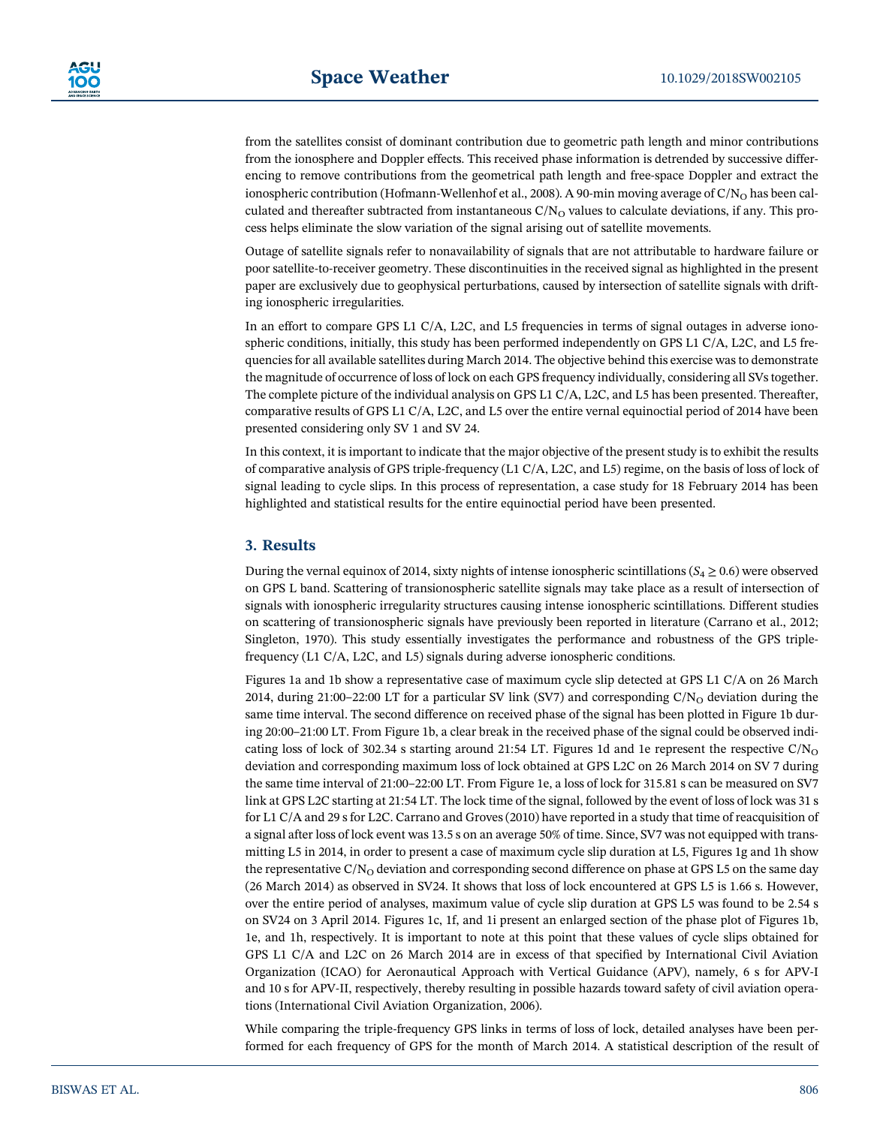from the satellites consist of dominant contribution due to geometric path length and minor contributions from the ionosphere and Doppler effects. This received phase information is detrended by successive differencing to remove contributions from the geometrical path length and free‐space Doppler and extract the ionospheric contribution (Hofmann-Wellenhof et al., 2008). A 90-min moving average of  $C/N<sub>O</sub>$  has been calculated and thereafter subtracted from instantaneous  $C/N<sub>O</sub>$  values to calculate deviations, if any. This process helps eliminate the slow variation of the signal arising out of satellite movements.

Outage of satellite signals refer to nonavailability of signals that are not attributable to hardware failure or poor satellite-to-receiver geometry. These discontinuities in the received signal as highlighted in the present paper are exclusively due to geophysical perturbations, caused by intersection of satellite signals with drifting ionospheric irregularities.

In an effort to compare GPS L1 C/A, L2C, and L5 frequencies in terms of signal outages in adverse ionospheric conditions, initially, this study has been performed independently on GPS L1 C/A, L2C, and L5 frequencies for all available satellites during March 2014. The objective behind this exercise was to demonstrate the magnitude of occurrence of loss of lock on each GPS frequency individually, considering all SVs together. The complete picture of the individual analysis on GPS L1 C/A, L2C, and L5 has been presented. Thereafter, comparative results of GPS L1 C/A, L2C, and L5 over the entire vernal equinoctial period of 2014 have been presented considering only SV 1 and SV 24.

In this context, it is important to indicate that the major objective of the present study is to exhibit the results of comparative analysis of GPS triple‐frequency (L1 C/A, L2C, and L5) regime, on the basis of loss of lock of signal leading to cycle slips. In this process of representation, a case study for 18 February 2014 has been highlighted and statistical results for the entire equinoctial period have been presented.

# 3. Results

During the vernal equinox of 2014, sixty nights of intense ionospheric scintillations ( $S_4 \ge 0.6$ ) were observed on GPS L band. Scattering of transionospheric satellite signals may take place as a result of intersection of signals with ionospheric irregularity structures causing intense ionospheric scintillations. Different studies on scattering of transionospheric signals have previously been reported in literature (Carrano et al., 2012; Singleton, 1970). This study essentially investigates the performance and robustness of the GPS triple‐ frequency (L1 C/A, L2C, and L5) signals during adverse ionospheric conditions.

Figures 1a and 1b show a representative case of maximum cycle slip detected at GPS L1 C/A on 26 March 2014, during 21:00–22:00 LT for a particular SV link (SV7) and corresponding C/N<sub>O</sub> deviation during the same time interval. The second difference on received phase of the signal has been plotted in Figure 1b during 20:00–21:00 LT. From Figure 1b, a clear break in the received phase of the signal could be observed indicating loss of lock of 302.34 s starting around 21:54 LT. Figures 1d and 1e represent the respective  $C/N<sub>O</sub>$ deviation and corresponding maximum loss of lock obtained at GPS L2C on 26 March 2014 on SV 7 during the same time interval of 21:00–22:00 LT. From Figure 1e, a loss of lock for 315.81 s can be measured on SV7 link at GPS L2C starting at 21:54 LT. The lock time of the signal, followed by the event of loss of lock was 31 s for L1 C/A and 29 s for L2C. Carrano and Groves (2010) have reported in a study that time of reacquisition of a signal after loss of lock event was 13.5 s on an average 50% of time. Since, SV7 was not equipped with transmitting L5 in 2014, in order to present a case of maximum cycle slip duration at L5, Figures 1g and 1h show the representative  $C/N_O$  deviation and corresponding second difference on phase at GPS L5 on the same day (26 March 2014) as observed in SV24. It shows that loss of lock encountered at GPS L5 is 1.66 s. However, over the entire period of analyses, maximum value of cycle slip duration at GPS L5 was found to be 2.54 s on SV24 on 3 April 2014. Figures 1c, 1f, and 1i present an enlarged section of the phase plot of Figures 1b, 1e, and 1h, respectively. It is important to note at this point that these values of cycle slips obtained for GPS L1 C/A and L2C on 26 March 2014 are in excess of that specified by International Civil Aviation Organization (ICAO) for Aeronautical Approach with Vertical Guidance (APV), namely, 6 s for APV‐I and 10 s for APV‐II, respectively, thereby resulting in possible hazards toward safety of civil aviation operations (International Civil Aviation Organization, 2006).

While comparing the triple-frequency GPS links in terms of loss of lock, detailed analyses have been performed for each frequency of GPS for the month of March 2014. A statistical description of the result of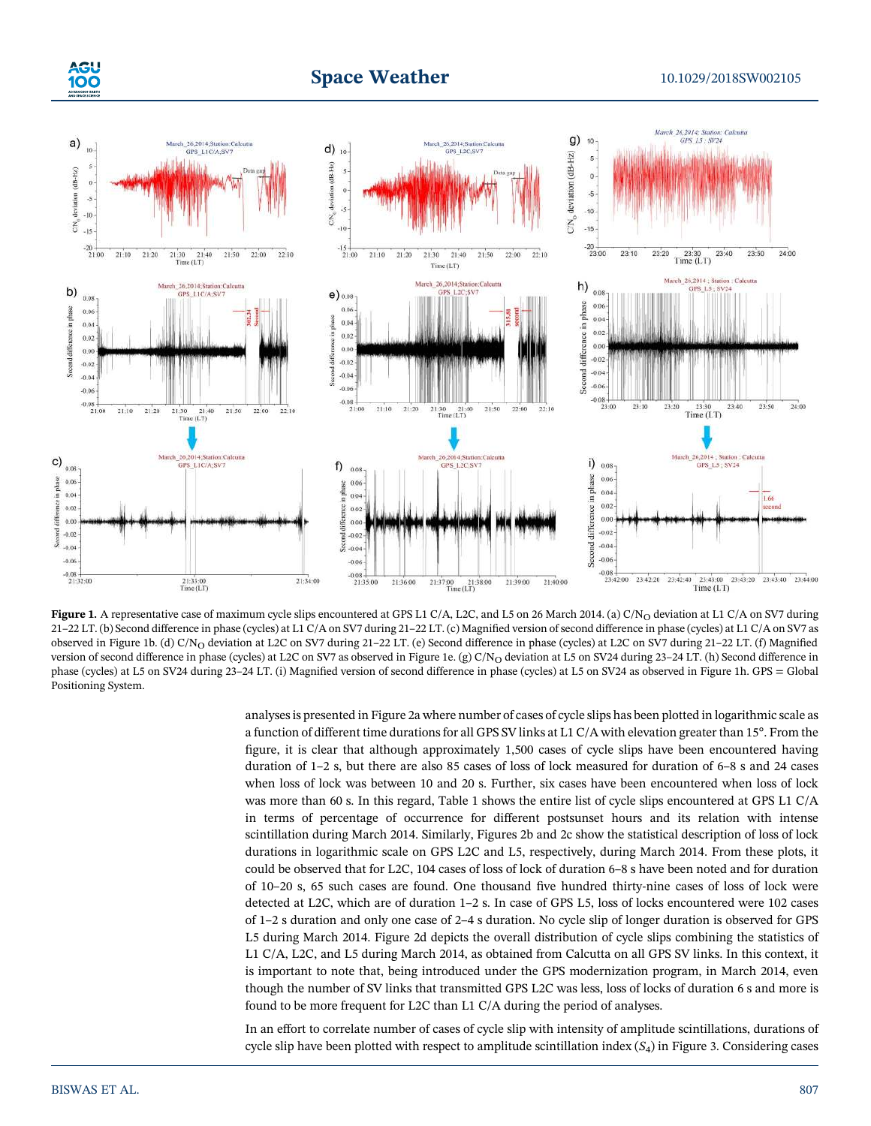

# **Space Weather** 10.1029/2018SW002105



Figure 1. A representative case of maximum cycle slips encountered at GPS L1 C/A, L2C, and L5 on 26 March 2014. (a) C/N<sub>O</sub> deviation at L1 C/A on SV7 during 21–22 LT. (b) Second difference in phase (cycles) at L1 C/A on SV7 during 21–22 LT. (c) Magnified version of second difference in phase (cycles) at L1 C/A on SV7 as observed in Figure 1b. (d) C/N<sub>O</sub> deviation at L2C on SV7 during 21-22 LT. (e) Second difference in phase (cycles) at L2C on SV7 during 21-22 LT. (f) Magnified version of second difference in phase (cycles) at L2C on SV7 as observed in Figure 1e. (g) C/N<sub>O</sub> deviation at L5 on SV24 during 23-24 LT. (h) Second difference in phase (cycles) at L5 on SV24 during 23–24 LT. (i) Magnified version of second difference in phase (cycles) at L5 on SV24 as observed in Figure 1h. GPS = Global Positioning System.

analyses is presented in Figure 2a where number of cases of cycle slips has been plotted in logarithmic scale as a function of different time durations for all GPS SV links at L1 C/A with elevation greater than 15°. From the figure, it is clear that although approximately 1,500 cases of cycle slips have been encountered having duration of 1–2 s, but there are also 85 cases of loss of lock measured for duration of 6–8 s and 24 cases when loss of lock was between 10 and 20 s. Further, six cases have been encountered when loss of lock was more than 60 s. In this regard, Table 1 shows the entire list of cycle slips encountered at GPS L1 C/A in terms of percentage of occurrence for different postsunset hours and its relation with intense scintillation during March 2014. Similarly, Figures 2b and 2c show the statistical description of loss of lock durations in logarithmic scale on GPS L2C and L5, respectively, during March 2014. From these plots, it could be observed that for L2C, 104 cases of loss of lock of duration 6–8 s have been noted and for duration of 10–20 s, 65 such cases are found. One thousand five hundred thirty‐nine cases of loss of lock were detected at L2C, which are of duration 1–2 s. In case of GPS L5, loss of locks encountered were 102 cases of 1–2 s duration and only one case of 2–4 s duration. No cycle slip of longer duration is observed for GPS L5 during March 2014. Figure 2d depicts the overall distribution of cycle slips combining the statistics of L1 C/A, L2C, and L5 during March 2014, as obtained from Calcutta on all GPS SV links. In this context, it is important to note that, being introduced under the GPS modernization program, in March 2014, even though the number of SV links that transmitted GPS L2C was less, loss of locks of duration 6 s and more is found to be more frequent for L2C than L1 C/A during the period of analyses.

In an effort to correlate number of cases of cycle slip with intensity of amplitude scintillations, durations of cycle slip have been plotted with respect to amplitude scintillation index  $(S_4)$  in Figure 3. Considering cases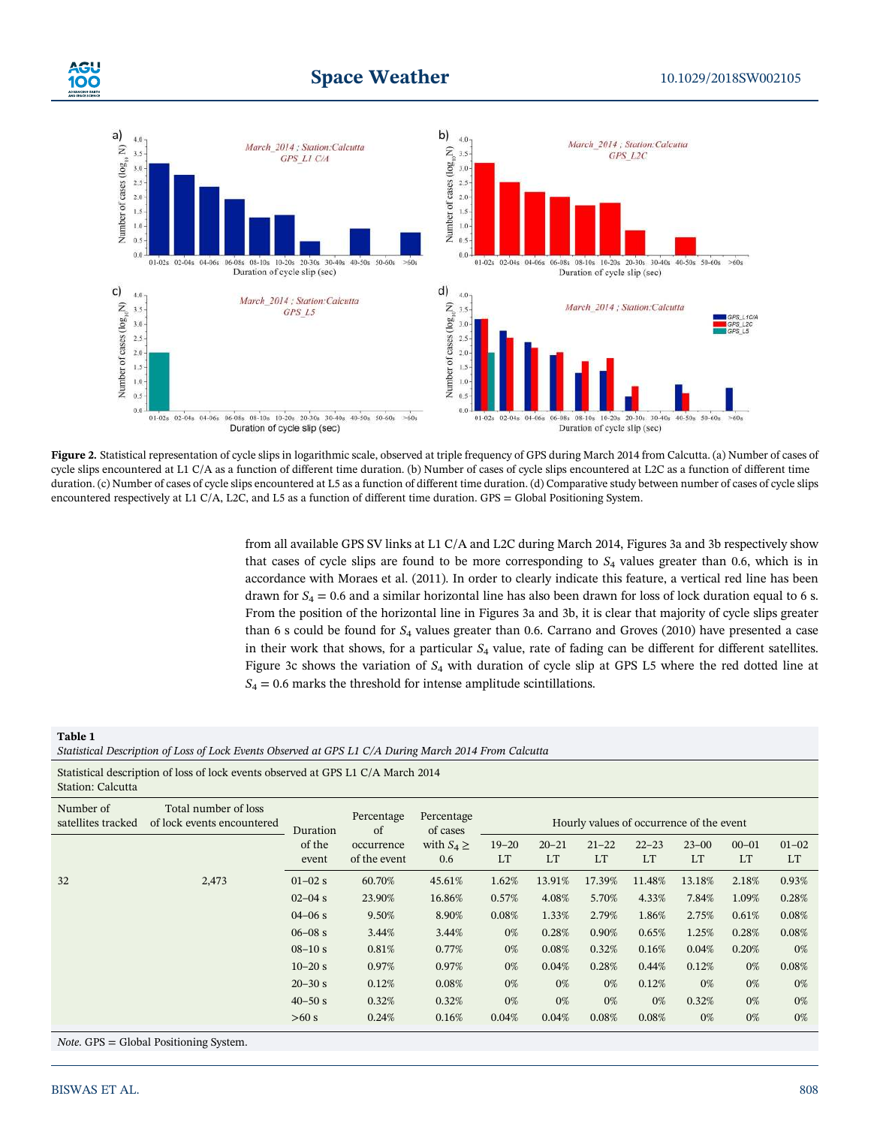

Figure 2. Statistical representation of cycle slips in logarithmic scale, observed at triple frequency of GPS during March 2014 from Calcutta. (a) Number of cases of cycle slips encountered at L1 C/A as a function of different time duration. (b) Number of cases of cycle slips encountered at L2C as a function of different time duration. (c) Number of cases of cycle slips encountered at L5 as a function of different time duration. (d) Comparative study between number of cases of cycle slips encountered respectively at L1 C/A, L2C, and L5 as a function of different time duration. GPS = Global Positioning System.

from all available GPS SV links at L1 C/A and L2C during March 2014, Figures 3a and 3b respectively show that cases of cycle slips are found to be more corresponding to  $S_4$  values greater than 0.6, which is in accordance with Moraes et al. (2011). In order to clearly indicate this feature, a vertical red line has been drawn for  $S_4 = 0.6$  and a similar horizontal line has also been drawn for loss of lock duration equal to 6 s. From the position of the horizontal line in Figures 3a and 3b, it is clear that majority of cycle slips greater than 6 s could be found for  $S_4$  values greater than 0.6. Carrano and Groves (2010) have presented a case in their work that shows, for a particular  $S_4$  value, rate of fading can be different for different satellites. Figure 3c shows the variation of  $S_4$  with duration of cycle slip at GPS L5 where the red dotted line at  $S_4 = 0.6$  marks the threshold for intense amplitude scintillations.

## Table 1 Statistical Description of Loss of Lock Events Observed at GPS L1 C/A During March 2014 From Calcutta

Statistical description of loss of lock events observed at GPS L1 C/A March 2014 Station: Calcutta

| Number of<br>satellites tracked | Total number of loss<br>of lock events encountered | Duration<br>of the<br>event | Percentage<br>of           | Percentage<br>of cases<br>with $S_4 \geq$<br>0.6 | Hourly values of occurrence of the event |                        |                 |                 |                 |                        |                        |
|---------------------------------|----------------------------------------------------|-----------------------------|----------------------------|--------------------------------------------------|------------------------------------------|------------------------|-----------------|-----------------|-----------------|------------------------|------------------------|
|                                 |                                                    |                             | occurrence<br>of the event |                                                  | $19 - 20$<br>LT                          | $20 - 21$<br><b>LT</b> | $21 - 22$<br>LT | $22 - 23$<br>LT | $23 - 00$<br>LT | $00 - 01$<br><b>LT</b> | $01 - 02$<br><b>LT</b> |
| 32                              | 2,473                                              | $01 - 02$ s                 | 60.70%                     | 45.61%                                           | 1.62%                                    | 13.91%                 | 17.39%          | 11.48%          | 13.18%          | 2.18%                  | 0.93%                  |
|                                 |                                                    | $02 - 04$ s                 | 23.90%                     | 16.86%                                           | 0.57%                                    | 4.08%                  | 5.70%           | 4.33%           | 7.84%           | 1.09%                  | 0.28%                  |
|                                 |                                                    | $04 - 06$ s                 | 9.50%                      | 8.90%                                            | 0.08%                                    | 1.33%                  | 2.79%           | 1.86%           | 2.75%           | 0.61%                  | 0.08%                  |
|                                 |                                                    | $06 - 08$ s                 | 3.44%                      | 3.44%                                            | 0%                                       | 0.28%                  | 0.90%           | 0.65%           | 1.25%           | 0.28%                  | 0.08%                  |
|                                 |                                                    | $08 - 10 s$                 | 0.81%                      | 0.77%                                            | 0%                                       | 0.08%                  | 0.32%           | 0.16%           | 0.04%           | 0.20%                  | 0%                     |
|                                 |                                                    | $10 - 20$ s                 | 0.97%                      | 0.97%                                            | 0%                                       | 0.04%                  | 0.28%           | 0.44%           | 0.12%           | 0%                     | 0.08%                  |
|                                 |                                                    | $20 - 30$ s                 | 0.12%                      | 0.08%                                            | 0%                                       | 0%                     | 0%              | 0.12%           | 0%              | 0%                     | 0%                     |
|                                 |                                                    | $40 - 50$ s                 | 0.32%                      | 0.32%                                            | 0%                                       | 0%                     | 0%              | 0%              | 0.32%           | 0%                     | 0%                     |
|                                 |                                                    | >60 s                       | 0.24%                      | 0.16%                                            | 0.04%                                    | 0.04%                  | 0.08%           | 0.08%           | 0%              | 0%                     | 0%                     |

Note. GPS = Global Positioning System.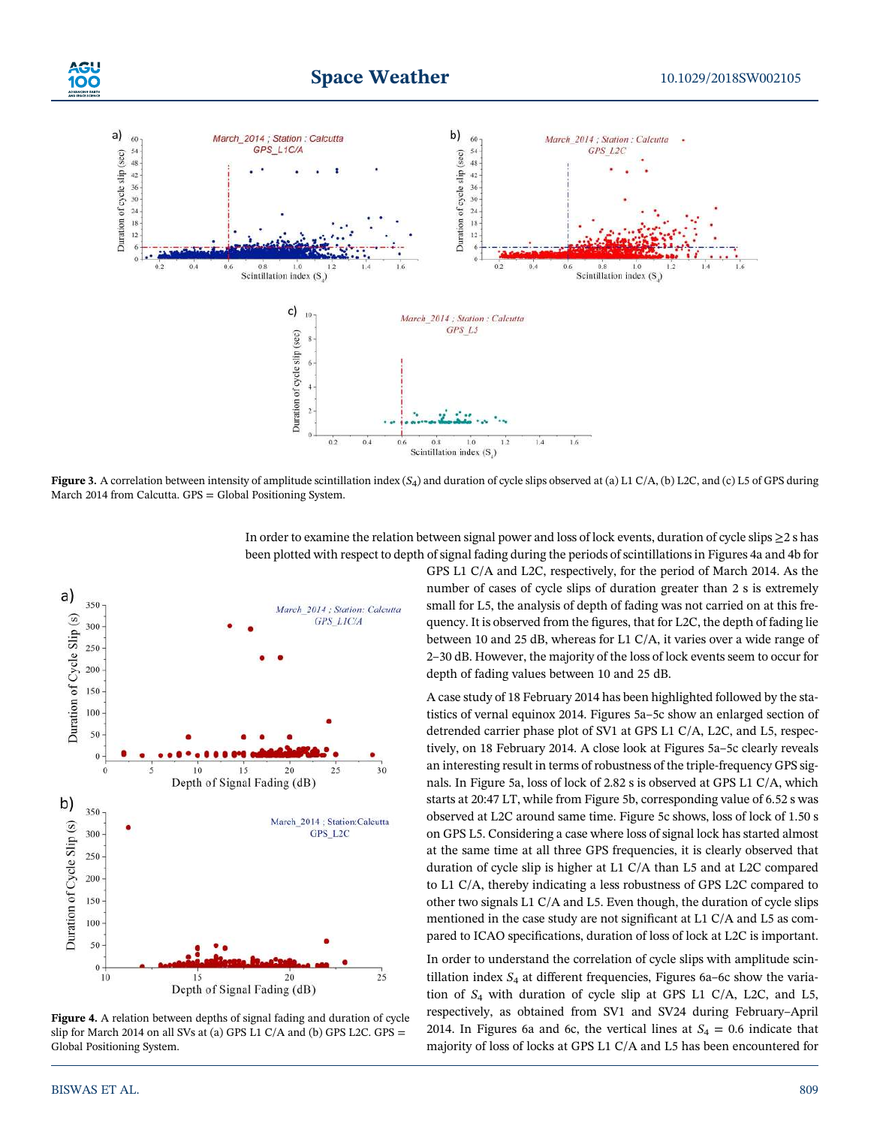

**Figure 3.** A correlation between intensity of amplitude scintillation index  $(S_4)$  and duration of cycle slips observed at (a) L1 C/A, (b) L2C, and (c) L5 of GPS during March 2014 from Calcutta. GPS = Global Positioning System.



Figure 4. A relation between depths of signal fading and duration of cycle slip for March 2014 on all SVs at (a) GPS L1 C/A and (b) GPS L2C. GPS = Global Positioning System.

In order to examine the relation between signal power and loss of lock events, duration of cycle slips ≥2 s has been plotted with respect to depth of signal fading during the periods of scintillations in Figures 4a and 4b for

GPS L1 C/A and L2C, respectively, for the period of March 2014. As the number of cases of cycle slips of duration greater than 2 s is extremely small for L5, the analysis of depth of fading was not carried on at this frequency. It is observed from the figures, that for L2C, the depth of fading lie between 10 and 25 dB, whereas for L1 C/A, it varies over a wide range of 2–30 dB. However, the majority of the loss of lock events seem to occur for depth of fading values between 10 and 25 dB.

A case study of 18 February 2014 has been highlighted followed by the statistics of vernal equinox 2014. Figures 5a–5c show an enlarged section of detrended carrier phase plot of SV1 at GPS L1 C/A, L2C, and L5, respectively, on 18 February 2014. A close look at Figures 5a–5c clearly reveals an interesting result in terms of robustness of the triple‐frequency GPS signals. In Figure 5a, loss of lock of 2.82 s is observed at GPS L1 C/A, which starts at 20:47 LT, while from Figure 5b, corresponding value of 6.52 s was observed at L2C around same time. Figure 5c shows, loss of lock of 1.50 s on GPS L5. Considering a case where loss of signal lock has started almost at the same time at all three GPS frequencies, it is clearly observed that duration of cycle slip is higher at L1 C/A than L5 and at L2C compared to L1 C/A, thereby indicating a less robustness of GPS L2C compared to other two signals L1 C/A and L5. Even though, the duration of cycle slips mentioned in the case study are not significant at L1 C/A and L5 as compared to ICAO specifications, duration of loss of lock at L2C is important.

In order to understand the correlation of cycle slips with amplitude scintillation index  $S_4$  at different frequencies, Figures 6a-6c show the variation of  $S_4$  with duration of cycle slip at GPS L1 C/A, L2C, and L5, respectively, as obtained from SV1 and SV24 during February–April 2014. In Figures 6a and 6c, the vertical lines at  $S_4 = 0.6$  indicate that majority of loss of locks at GPS L1 C/A and L5 has been encountered for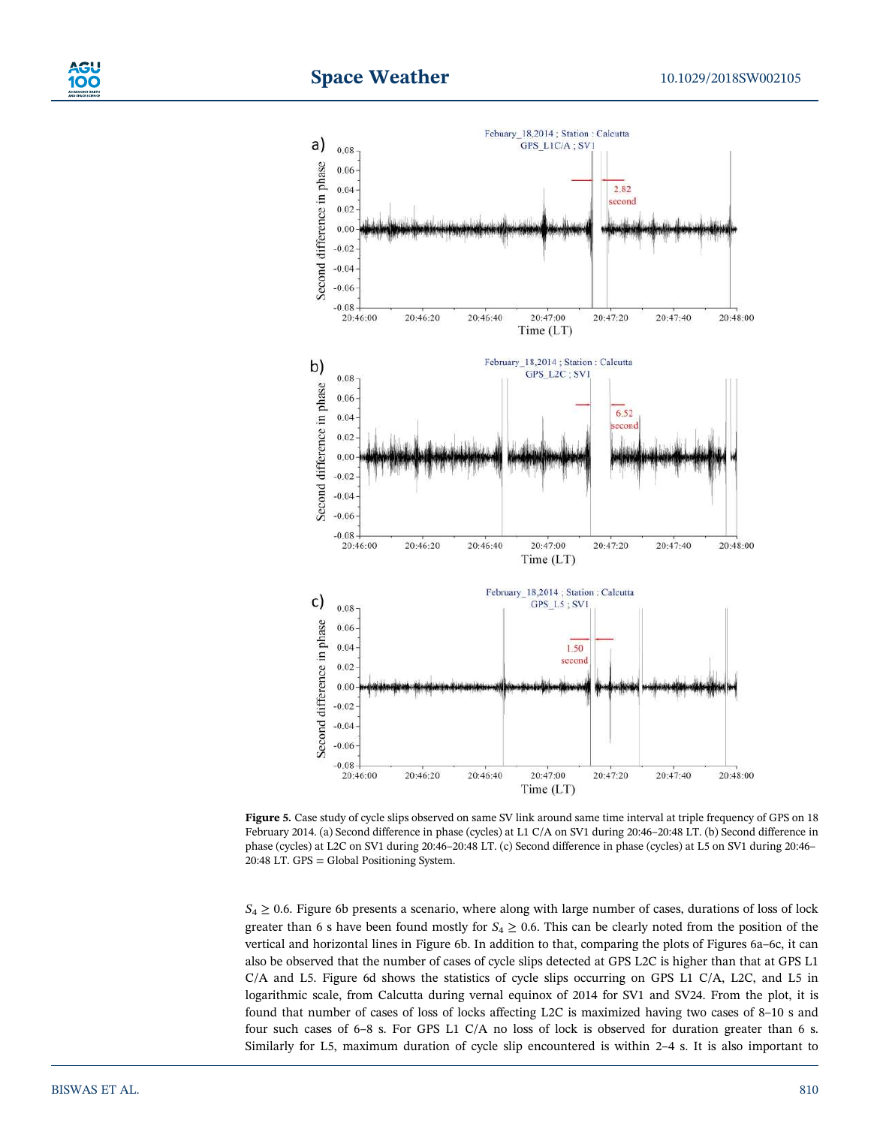



Figure 5. Case study of cycle slips observed on same SV link around same time interval at triple frequency of GPS on 18 February 2014. (a) Second difference in phase (cycles) at L1 C/A on SV1 during 20:46–20:48 LT. (b) Second difference in phase (cycles) at L2C on SV1 during 20:46–20:48 LT. (c) Second difference in phase (cycles) at L5 on SV1 during 20:46– 20:48 LT. GPS = Global Positioning System.

 $S_4 \geq 0.6$ . Figure 6b presents a scenario, where along with large number of cases, durations of loss of lock greater than 6 s have been found mostly for  $S_4 \geq 0.6$ . This can be clearly noted from the position of the vertical and horizontal lines in Figure 6b. In addition to that, comparing the plots of Figures 6a–6c, it can also be observed that the number of cases of cycle slips detected at GPS L2C is higher than that at GPS L1 C/A and L5. Figure 6d shows the statistics of cycle slips occurring on GPS L1 C/A, L2C, and L5 in logarithmic scale, from Calcutta during vernal equinox of 2014 for SV1 and SV24. From the plot, it is found that number of cases of loss of locks affecting L2C is maximized having two cases of 8–10 s and four such cases of 6–8 s. For GPS L1 C/A no loss of lock is observed for duration greater than 6 s. Similarly for L5, maximum duration of cycle slip encountered is within 2–4 s. It is also important to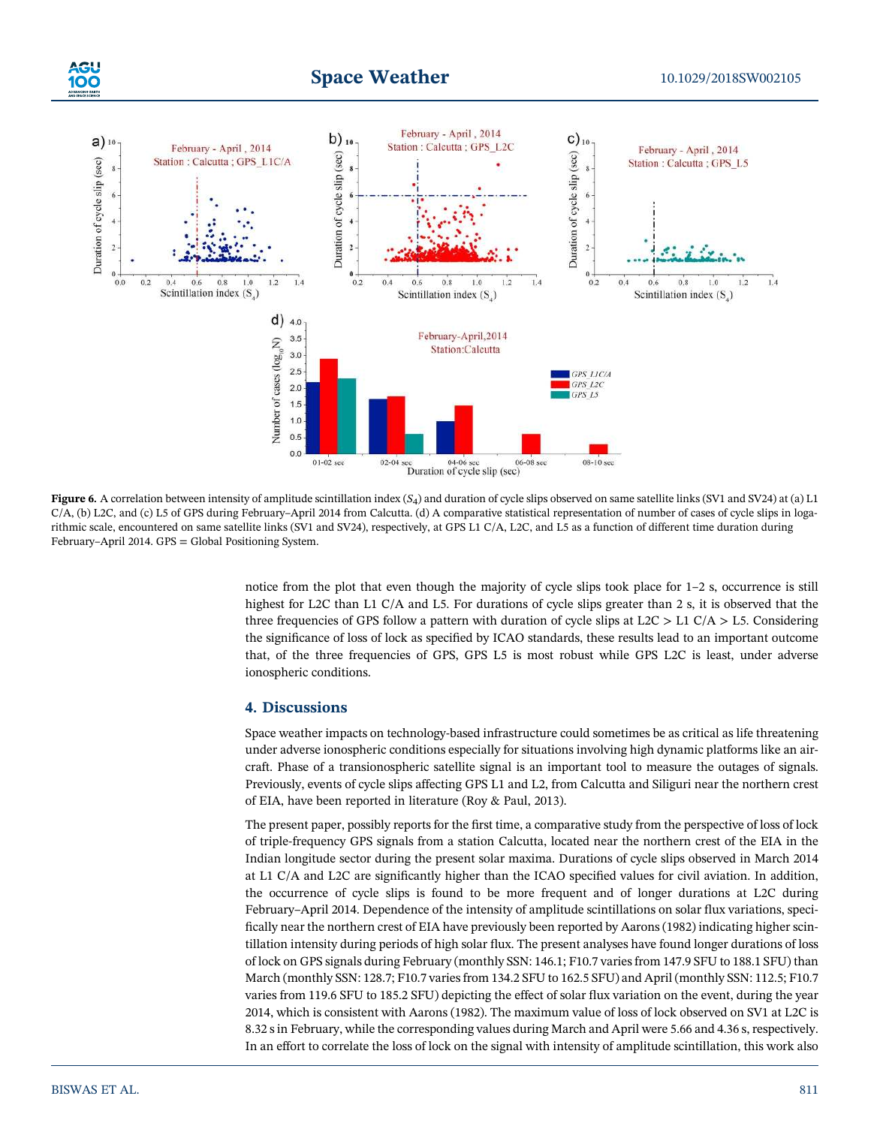

**Figure 6.** A correlation between intensity of amplitude scintillation index  $(S_4)$  and duration of cycle slips observed on same satellite links (SV1 and SV24) at (a) L1 C/A, (b) L2C, and (c) L5 of GPS during February–April 2014 from Calcutta. (d) A comparative statistical representation of number of cases of cycle slips in logarithmic scale, encountered on same satellite links (SV1 and SV24), respectively, at GPS L1 C/A, L2C, and L5 as a function of different time duration during February–April 2014. GPS = Global Positioning System.

notice from the plot that even though the majority of cycle slips took place for 1–2 s, occurrence is still highest for L2C than L1 C/A and L5. For durations of cycle slips greater than 2 s, it is observed that the three frequencies of GPS follow a pattern with duration of cycle slips at  $L2C > L1 C/A > L5$ . Considering the significance of loss of lock as specified by ICAO standards, these results lead to an important outcome that, of the three frequencies of GPS, GPS L5 is most robust while GPS L2C is least, under adverse ionospheric conditions.

# 4. Discussions

Space weather impacts on technology-based infrastructure could sometimes be as critical as life threatening under adverse ionospheric conditions especially for situations involving high dynamic platforms like an aircraft. Phase of a transionospheric satellite signal is an important tool to measure the outages of signals. Previously, events of cycle slips affecting GPS L1 and L2, from Calcutta and Siliguri near the northern crest of EIA, have been reported in literature (Roy & Paul, 2013).

The present paper, possibly reports for the first time, a comparative study from the perspective of loss of lock of triple‐frequency GPS signals from a station Calcutta, located near the northern crest of the EIA in the Indian longitude sector during the present solar maxima. Durations of cycle slips observed in March 2014 at L1 C/A and L2C are significantly higher than the ICAO specified values for civil aviation. In addition, the occurrence of cycle slips is found to be more frequent and of longer durations at L2C during February–April 2014. Dependence of the intensity of amplitude scintillations on solar flux variations, specifically near the northern crest of EIA have previously been reported by Aarons (1982) indicating higher scintillation intensity during periods of high solar flux. The present analyses have found longer durations of loss of lock on GPS signals during February (monthly SSN: 146.1; F10.7 varies from 147.9 SFU to 188.1 SFU) than March (monthly SSN: 128.7; F10.7 varies from 134.2 SFU to 162.5 SFU) and April (monthly SSN: 112.5; F10.7 varies from 119.6 SFU to 185.2 SFU) depicting the effect of solar flux variation on the event, during the year 2014, which is consistent with Aarons (1982). The maximum value of loss of lock observed on SV1 at L2C is 8.32 s in February, while the corresponding values during March and April were 5.66 and 4.36 s, respectively. In an effort to correlate the loss of lock on the signal with intensity of amplitude scintillation, this work also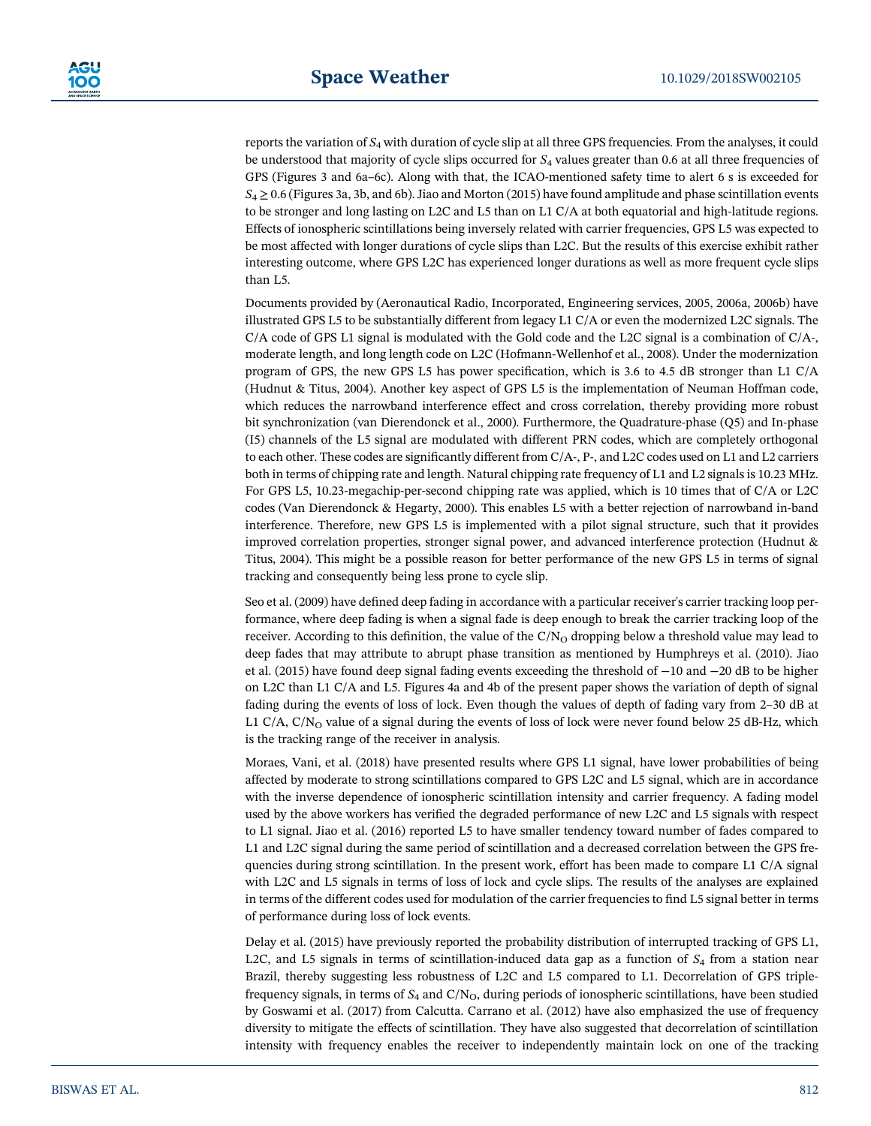reports the variation of  $S_4$  with duration of cycle slip at all three GPS frequencies. From the analyses, it could be understood that majority of cycle slips occurred for  $S<sub>4</sub>$  values greater than 0.6 at all three frequencies of GPS (Figures 3 and 6a–6c). Along with that, the ICAO-mentioned safety time to alert 6 s is exceeded for  $S_4 \geq 0.6$  (Figures 3a, 3b, and 6b). Jiao and Morton (2015) have found amplitude and phase scintillation events to be stronger and long lasting on L2C and L5 than on L1 C/A at both equatorial and high-latitude regions. Effects of ionospheric scintillations being inversely related with carrier frequencies, GPS L5 was expected to be most affected with longer durations of cycle slips than L2C. But the results of this exercise exhibit rather interesting outcome, where GPS L2C has experienced longer durations as well as more frequent cycle slips than L5.

Documents provided by (Aeronautical Radio, Incorporated, Engineering services, 2005, 2006a, 2006b) have illustrated GPS L5 to be substantially different from legacy L1 C/A or even the modernized L2C signals. The  $C/A$  code of GPS L1 signal is modulated with the Gold code and the L2C signal is a combination of  $C/A$ -, moderate length, and long length code on L2C (Hofmann‐Wellenhof et al., 2008). Under the modernization program of GPS, the new GPS L5 has power specification, which is 3.6 to 4.5 dB stronger than L1 C/A (Hudnut & Titus, 2004). Another key aspect of GPS L5 is the implementation of Neuman Hoffman code, which reduces the narrowband interference effect and cross correlation, thereby providing more robust bit synchronization (van Dierendonck et al., 2000). Furthermore, the Quadrature‐phase (Q5) and In‐phase (I5) channels of the L5 signal are modulated with different PRN codes, which are completely orthogonal to each other. These codes are significantly different from C/A‐, P‐, and L2C codes used on L1 and L2 carriers both in terms of chipping rate and length. Natural chipping rate frequency of L1 and L2 signals is 10.23 MHz. For GPS L5, 10.23-megachip-per-second chipping rate was applied, which is 10 times that of C/A or L2C codes (Van Dierendonck & Hegarty, 2000). This enables L5 with a better rejection of narrowband in‐band interference. Therefore, new GPS L5 is implemented with a pilot signal structure, such that it provides improved correlation properties, stronger signal power, and advanced interference protection (Hudnut & Titus, 2004). This might be a possible reason for better performance of the new GPS L5 in terms of signal tracking and consequently being less prone to cycle slip.

Seo et al. (2009) have defined deep fading in accordance with a particular receiver's carrier tracking loop performance, where deep fading is when a signal fade is deep enough to break the carrier tracking loop of the receiver. According to this definition, the value of the  $C/N<sub>O</sub>$  dropping below a threshold value may lead to deep fades that may attribute to abrupt phase transition as mentioned by Humphreys et al. (2010). Jiao et al. (2015) have found deep signal fading events exceeding the threshold of −10 and −20 dB to be higher on L2C than L1 C/A and L5. Figures 4a and 4b of the present paper shows the variation of depth of signal fading during the events of loss of lock. Even though the values of depth of fading vary from 2–30 dB at L1 C/A, C/N<sub>O</sub> value of a signal during the events of loss of lock were never found below 25 dB-Hz, which is the tracking range of the receiver in analysis.

Moraes, Vani, et al. (2018) have presented results where GPS L1 signal, have lower probabilities of being affected by moderate to strong scintillations compared to GPS L2C and L5 signal, which are in accordance with the inverse dependence of ionospheric scintillation intensity and carrier frequency. A fading model used by the above workers has verified the degraded performance of new L2C and L5 signals with respect to L1 signal. Jiao et al. (2016) reported L5 to have smaller tendency toward number of fades compared to L1 and L2C signal during the same period of scintillation and a decreased correlation between the GPS frequencies during strong scintillation. In the present work, effort has been made to compare L1 C/A signal with L2C and L5 signals in terms of loss of lock and cycle slips. The results of the analyses are explained in terms of the different codes used for modulation of the carrier frequencies to find L5 signal better in terms of performance during loss of lock events.

Delay et al. (2015) have previously reported the probability distribution of interrupted tracking of GPS L1, L2C, and L5 signals in terms of scintillation-induced data gap as a function of  $S_4$  from a station near Brazil, thereby suggesting less robustness of L2C and L5 compared to L1. Decorrelation of GPS triple‐ frequency signals, in terms of  $S_4$  and  $C/N<sub>O</sub>$ , during periods of ionospheric scintillations, have been studied by Goswami et al. (2017) from Calcutta. Carrano et al. (2012) have also emphasized the use of frequency diversity to mitigate the effects of scintillation. They have also suggested that decorrelation of scintillation intensity with frequency enables the receiver to independently maintain lock on one of the tracking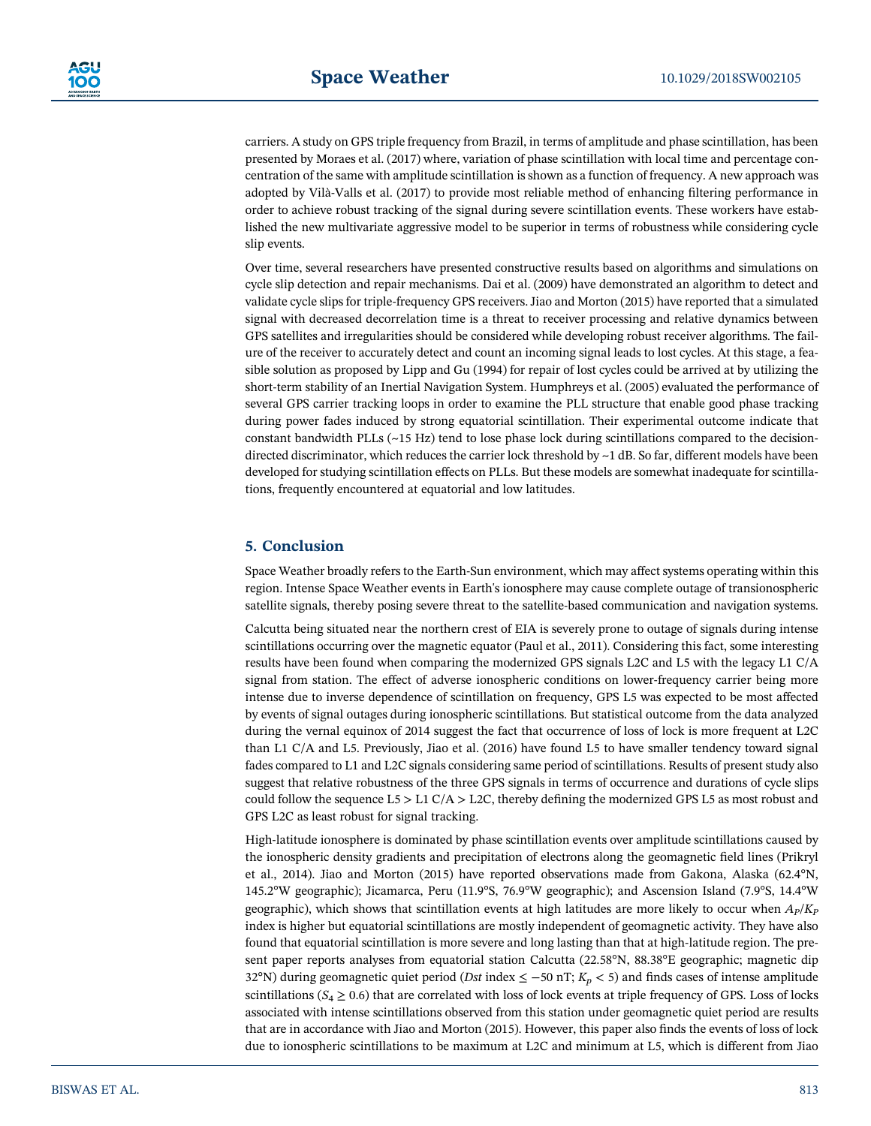carriers. A study on GPS triple frequency from Brazil, in terms of amplitude and phase scintillation, has been presented by Moraes et al. (2017) where, variation of phase scintillation with local time and percentage concentration of the same with amplitude scintillation is shown as a function of frequency. A new approach was adopted by Vilà‐Valls et al. (2017) to provide most reliable method of enhancing filtering performance in order to achieve robust tracking of the signal during severe scintillation events. These workers have established the new multivariate aggressive model to be superior in terms of robustness while considering cycle slip events.

Over time, several researchers have presented constructive results based on algorithms and simulations on cycle slip detection and repair mechanisms. Dai et al. (2009) have demonstrated an algorithm to detect and validate cycle slips for triple‐frequency GPS receivers. Jiao and Morton (2015) have reported that a simulated signal with decreased decorrelation time is a threat to receiver processing and relative dynamics between GPS satellites and irregularities should be considered while developing robust receiver algorithms. The failure of the receiver to accurately detect and count an incoming signal leads to lost cycles. At this stage, a feasible solution as proposed by Lipp and Gu (1994) for repair of lost cycles could be arrived at by utilizing the short-term stability of an Inertial Navigation System. Humphreys et al. (2005) evaluated the performance of several GPS carrier tracking loops in order to examine the PLL structure that enable good phase tracking during power fades induced by strong equatorial scintillation. Their experimental outcome indicate that constant bandwidth PLLs  $(\sim 15 \text{ Hz})$  tend to lose phase lock during scintillations compared to the decisiondirected discriminator, which reduces the carrier lock threshold by  $\sim$ 1 dB. So far, different models have been developed for studying scintillation effects on PLLs. But these models are somewhat inadequate for scintillations, frequently encountered at equatorial and low latitudes.

# 5. Conclusion

Space Weather broadly refers to the Earth‐Sun environment, which may affect systems operating within this region. Intense Space Weather events in Earth's ionosphere may cause complete outage of transionospheric satellite signals, thereby posing severe threat to the satellite-based communication and navigation systems.

Calcutta being situated near the northern crest of EIA is severely prone to outage of signals during intense scintillations occurring over the magnetic equator (Paul et al., 2011). Considering this fact, some interesting results have been found when comparing the modernized GPS signals L2C and L5 with the legacy L1 C/A signal from station. The effect of adverse ionospheric conditions on lower-frequency carrier being more intense due to inverse dependence of scintillation on frequency, GPS L5 was expected to be most affected by events of signal outages during ionospheric scintillations. But statistical outcome from the data analyzed during the vernal equinox of 2014 suggest the fact that occurrence of loss of lock is more frequent at L2C than L1 C/A and L5. Previously, Jiao et al. (2016) have found L5 to have smaller tendency toward signal fades compared to L1 and L2C signals considering same period of scintillations. Results of present study also suggest that relative robustness of the three GPS signals in terms of occurrence and durations of cycle slips could follow the sequence  $L5 > L1 C/A > L2C$ , thereby defining the modernized GPS L5 as most robust and GPS L2C as least robust for signal tracking.

High-latitude ionosphere is dominated by phase scintillation events over amplitude scintillations caused by the ionospheric density gradients and precipitation of electrons along the geomagnetic field lines (Prikryl et al., 2014). Jiao and Morton (2015) have reported observations made from Gakona, Alaska (62.4°N, 145.2°W geographic); Jicamarca, Peru (11.9°S, 76.9°W geographic); and Ascension Island (7.9°S, 14.4°W geographic), which shows that scintillation events at high latitudes are more likely to occur when  $A<sub>p</sub>/K<sub>p</sub>$ index is higher but equatorial scintillations are mostly independent of geomagnetic activity. They have also found that equatorial scintillation is more severe and long lasting than that at high-latitude region. The present paper reports analyses from equatorial station Calcutta (22.58°N, 88.38°E geographic; magnetic dip 32°N) during geomagnetic quiet period (Dst index  $\le -50$  nT;  $K_p < 5$ ) and finds cases of intense amplitude scintillations ( $S_4 \ge 0.6$ ) that are correlated with loss of lock events at triple frequency of GPS. Loss of locks associated with intense scintillations observed from this station under geomagnetic quiet period are results that are in accordance with Jiao and Morton (2015). However, this paper also finds the events of loss of lock due to ionospheric scintillations to be maximum at L2C and minimum at L5, which is different from Jiao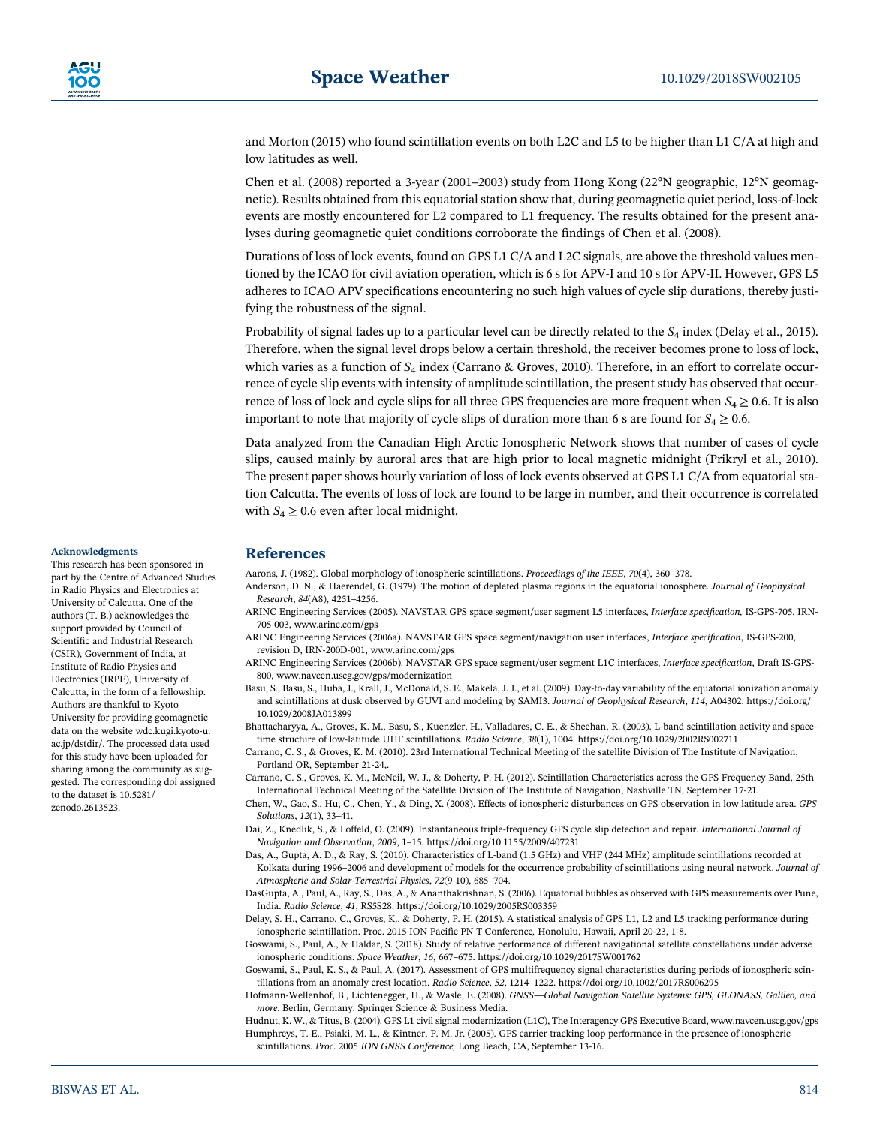and Morton (2015) who found scintillation events on both L2C and L5 to be higher than L1 C/A at high and low latitudes as well.

Chen et al. (2008) reported a 3‐year (2001–2003) study from Hong Kong (22°N geographic, 12°N geomagnetic). Results obtained from this equatorial station show that, during geomagnetic quiet period, loss‐of‐lock events are mostly encountered for L2 compared to L1 frequency. The results obtained for the present analyses during geomagnetic quiet conditions corroborate the findings of Chen et al. (2008).

Durations of loss of lock events, found on GPS L1 C/A and L2C signals, are above the threshold values mentioned by the ICAO for civil aviation operation, which is 6 s for APV-I and 10 s for APV-II. However, GPS L5 adheres to ICAO APV specifications encountering no such high values of cycle slip durations, thereby justifying the robustness of the signal.

Probability of signal fades up to a particular level can be directly related to the  $S_4$  index (Delay et al., 2015). Therefore, when the signal level drops below a certain threshold, the receiver becomes prone to loss of lock, which varies as a function of  $S_4$  index (Carrano & Groves, 2010). Therefore, in an effort to correlate occurrence of cycle slip events with intensity of amplitude scintillation, the present study has observed that occurrence of loss of lock and cycle slips for all three GPS frequencies are more frequent when  $S_4 \geq 0.6$ . It is also important to note that majority of cycle slips of duration more than 6 s are found for  $S_4 \ge 0.6$ .

Data analyzed from the Canadian High Arctic Ionospheric Network shows that number of cases of cycle slips, caused mainly by auroral arcs that are high prior to local magnetic midnight (Prikryl et al., 2010). The present paper shows hourly variation of loss of lock events observed at GPS L1 C/A from equatorial station Calcutta. The events of loss of lock are found to be large in number, and their occurrence is correlated with  $S_4 \geq 0.6$  even after local midnight.

#### Acknowledgments

This research has been sponsored in part by the Centre of Advanced Studies in Radio Physics and Electronics at University of Calcutta. One of the authors (T. B.) acknowledges the support provided by Council of Scientific and Industrial Research (CSIR), Government of India, at Institute of Radio Physics and Electronics (IRPE), University of Calcutta, in the form of a fellowship. Authors are thankful to Kyoto University for providing geomagnetic data on the website wdc.kugi.kyoto‐u. ac.jp/dstdir/. The processed data used for this study have been uploaded for sharing among the community as suggested. The corresponding doi assigned to the dataset is 10.5281/ zenodo.2613523.

# References

Aarons, J. (1982). Global morphology of ionospheric scintillations. Proceedings of the IEEE, 70(4), 360–378.

- Anderson, D. N., & Haerendel, G. (1979). The motion of depleted plasma regions in the equatorial ionosphere. Journal of Geophysical Research, 84(A8), 4251–4256.
- ARINC Engineering Services (2005). NAVSTAR GPS space segment/user segment L5 interfaces, Interface specification, IS‐GPS‐705, IRN‐ 705‐003, www.arinc.com/gps
- ARINC Engineering Services (2006a). NAVSTAR GPS space segment/navigation user interfaces, Interface specification, IS‐GPS‐200, revision D, IRN‐200D‐001, www.arinc.com/gps
- ARINC Engineering Services (2006b). NAVSTAR GPS space segment/user segment L1C interfaces, Interface specification, Draft IS‐GPS‐ 800, www.navcen.uscg.gov/gps/modernization
- Basu, S., Basu, S., Huba, J., Krall, J., McDonald, S. E., Makela, J. J., et al. (2009). Day‐to‐day variability of the equatorial ionization anomaly and scintillations at dusk observed by GUVI and modeling by SAMI3. Journal of Geophysical Research, 114, A04302. https://doi.org/ 10.1029/2008JA013899
- Bhattacharyya, A., Groves, K. M., Basu, S., Kuenzler, H., Valladares, C. E., & Sheehan, R. (2003). L‐band scintillation activity and space‐ time structure of low-latitude UHF scintillations. Radio Science, 38(1), 1004. https://doi.org/10.1029/2002RS002711

Carrano, C. S., & Groves, K. M. (2010). 23rd International Technical Meeting of the satellite Division of The Institute of Navigation, Portland OR, September 21‐24,.

- Carrano, C. S., Groves, K. M., McNeil, W. J., & Doherty, P. H. (2012). Scintillation Characteristics across the GPS Frequency Band, 25th International Technical Meeting of the Satellite Division of The Institute of Navigation, Nashville TN, September 17‐21.
- Chen, W., Gao, S., Hu, C., Chen, Y., & Ding, X. (2008). Effects of ionospheric disturbances on GPS observation in low latitude area. GPS Solutions, 12(1), 33–41.
- Dai, Z., Knedlik, S., & Loffeld, O. (2009). Instantaneous triple-frequency GPS cycle slip detection and repair. International Journal of Navigation and Observation, 2009, 1–15. https://doi.org/10.1155/2009/407231
- Das, A., Gupta, A. D., & Ray, S. (2010). Characteristics of L-band (1.5 GHz) and VHF (244 MHz) amplitude scintillations recorded at Kolkata during 1996-2006 and development of models for the occurrence probability of scintillations using neural network. Journal of Atmospheric and Solar‐Terrestrial Physics, 72(9‐10), 685–704.
- DasGupta, A., Paul, A., Ray, S., Das, A., & Ananthakrishnan, S. (2006). Equatorial bubbles as observed with GPS measurements over Pune, India. Radio Science, 41, RS5S28. https://doi.org/10.1029/2005RS003359
- Delay, S. H., Carrano, C., Groves, K., & Doherty, P. H. (2015). A statistical analysis of GPS L1, L2 and L5 tracking performance during ionospheric scintillation. Proc. 2015 ION Pacific PN T Conference, Honolulu, Hawaii, April 20‐23, 1‐8.
- Goswami, S., Paul, A., & Haldar, S. (2018). Study of relative performance of different navigational satellite constellations under adverse ionospheric conditions. Space Weather, 16, 667–675. https://doi.org/10.1029/2017SW001762
- Goswami, S., Paul, K. S., & Paul, A. (2017). Assessment of GPS multifrequency signal characteristics during periods of ionospheric scintillations from an anomaly crest location. Radio Science, 52, 1214-1222. https://doi.org/10.1002/2017RS006295
- Hofmann‐Wellenhof, B., Lichtenegger, H., & Wasle, E. (2008). GNSS—Global Navigation Satellite Systems: GPS, GLONASS, Galileo, and more. Berlin, Germany: Springer Science & Business Media.
- Hudnut, K. W., & Titus, B. (2004). GPS L1 civil signal modernization (L1C), The Interagency GPS Executive Board, www.navcen.uscg.gov/gps Humphreys, T. E., Psiaki, M. L., & Kintner, P. M. Jr. (2005). GPS carrier tracking loop performance in the presence of ionospheric scintillations. Proc. 2005 ION GNSS Conference, Long Beach, CA, September 13‐16.